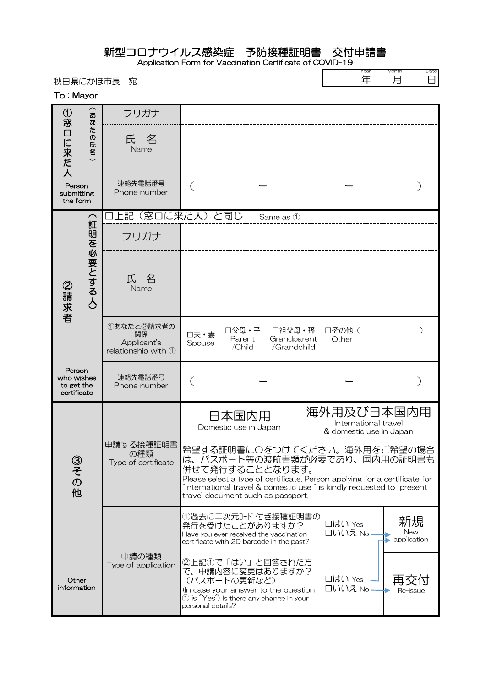## 新型コロナウイルス感染症 予防接種証明書 交付申請書

Application Form for Vaccination Certificate of COVID-19

秋田県にかほ市長 宛

| Year | Month |
|------|-------|
|      |       |

Date 日

To : Mayor

|                                                                                             | $\widehat{\phantom{1}}$<br>あ<br>な | フリガナ                                        |                                                                                                                                                                                          |                                                                                                                                                                                                                                          |                                                               |                          |
|---------------------------------------------------------------------------------------------|-----------------------------------|---------------------------------------------|------------------------------------------------------------------------------------------------------------------------------------------------------------------------------------------|------------------------------------------------------------------------------------------------------------------------------------------------------------------------------------------------------------------------------------------|---------------------------------------------------------------|--------------------------|
| ①窓口に来た人                                                                                     | た<br>!の氏名                         | 氏名<br>Name                                  |                                                                                                                                                                                          |                                                                                                                                                                                                                                          |                                                               |                          |
| Person<br>submitting<br>the form                                                            |                                   | 連絡先電話番号<br>Phone number                     |                                                                                                                                                                                          |                                                                                                                                                                                                                                          |                                                               |                          |
| $\curvearrowright$<br>証<br>明を必要とする人)<br>フリガナ<br>氏<br>名<br>②請求者<br>Name<br>関係<br>Applicant's |                                   | 上記(窓口に来た人)と同じ                               |                                                                                                                                                                                          | Same as 1                                                                                                                                                                                                                                |                                                               |                          |
|                                                                                             |                                   |                                             |                                                                                                                                                                                          |                                                                                                                                                                                                                                          |                                                               |                          |
|                                                                                             |                                   |                                             |                                                                                                                                                                                          |                                                                                                                                                                                                                                          |                                                               |                          |
|                                                                                             |                                   | ①あなたと2請求者の<br>relationship with $\mathbb O$ | □父母・子<br>口夫·妻<br>Parent<br>Spouse<br>/Child                                                                                                                                              | □祖父母・孫<br>Grandparent<br>/Grandchild                                                                                                                                                                                                     | 口その他(<br>Other                                                | ⟩                        |
| Person<br>who wishes<br>to get the<br>certificate                                           |                                   | 連絡先電話番号<br>Phone number                     |                                                                                                                                                                                          |                                                                                                                                                                                                                                          |                                                               |                          |
|                                                                                             |                                   |                                             | 日本国内用<br>Domestic use in Japan                                                                                                                                                           |                                                                                                                                                                                                                                          | 海外用及び日本国内用<br>International travel<br>& domestic use in Japan |                          |
| $\epsilon$<br>$\sigma$<br>他                                                                 |                                   | 申請する接種証明書<br>の種類<br>Type of certificate     | 併せて発行することとなります。<br>travel document such as passport.                                                                                                                                     | 希望する証明書にOをつけてください。海外用をご希望の場合<br>は、パスポート等の渡航書類が必要であり、国内用の証明書も<br>Please select a type of certificate. Person applying for a certificate for<br>$\tilde{a}$ international travel & domestic use $\tilde{a}$ is kindly requested to present |                                                               |                          |
|                                                                                             |                                   |                                             | ①過去に二次元コード付き接種証明書の<br>発行を受けたことがありますか?<br>Have you ever received the vaccination<br>certificate with 2D barcode in the past?                                                              |                                                                                                                                                                                                                                          | □はい Yes<br>□いいえ No.                                           | 新規<br>New<br>application |
| Other<br>information                                                                        |                                   | 申請の種類<br>Type of application                | ②上記①で「はい」と回答された方<br>で、申請内容に変更はありますか?<br>(パスポートの更新など)<br>(In case your answer to the question<br>$\textcircled{1}$ is $\textup{``Yes''}$ is there any change in your<br>personal details? |                                                                                                                                                                                                                                          | □はい Yes<br>□いいえ No                                            | Re-issue                 |